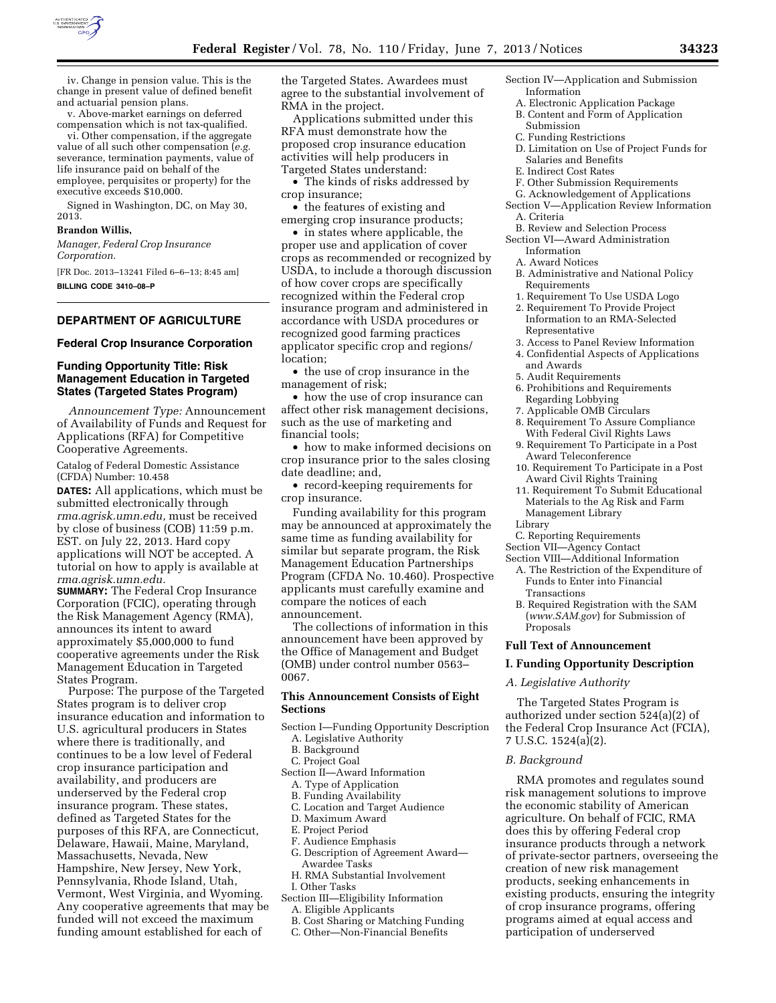

iv. Change in pension value. This is the change in present value of defined benefit and actuarial pension plans.

v. Above-market earnings on deferred compensation which is not tax-qualified.

vi. Other compensation, if the aggregate value of all such other compensation (*e.g.*  severance, termination payments, value of life insurance paid on behalf of the employee, perquisites or property) for the executive exceeds \$10,000.

Signed in Washington, DC, on May 30, 2013.

#### **Brandon Willis,**

*Manager, Federal Crop Insurance Corporation.* 

[FR Doc. 2013–13241 Filed 6–6–13; 8:45 am] **BILLING CODE 3410–08–P** 

# **DEPARTMENT OF AGRICULTURE**

## **Federal Crop Insurance Corporation**

## **Funding Opportunity Title: Risk Management Education in Targeted States (Targeted States Program)**

*Announcement Type:* Announcement of Availability of Funds and Request for Applications (RFA) for Competitive Cooperative Agreements.

Catalog of Federal Domestic Assistance (CFDA) Number: 10.458

**DATES:** All applications, which must be submitted electronically through *rma.agrisk.umn.edu,* must be received by close of business (COB) 11:59 p.m. EST. on July 22, 2013. Hard copy applications will NOT be accepted. A tutorial on how to apply is available at *rma.agrisk.umn.edu.* 

**SUMMARY:** The Federal Crop Insurance Corporation (FCIC), operating through the Risk Management Agency (RMA), announces its intent to award approximately \$5,000,000 to fund cooperative agreements under the Risk Management Education in Targeted States Program.

Purpose: The purpose of the Targeted States program is to deliver crop insurance education and information to U.S. agricultural producers in States where there is traditionally, and continues to be a low level of Federal crop insurance participation and availability, and producers are underserved by the Federal crop insurance program. These states, defined as Targeted States for the purposes of this RFA, are Connecticut, Delaware, Hawaii, Maine, Maryland, Massachusetts, Nevada, New Hampshire, New Jersey, New York, Pennsylvania, Rhode Island, Utah, Vermont, West Virginia, and Wyoming. Any cooperative agreements that may be funded will not exceed the maximum funding amount established for each of

the Targeted States. Awardees must agree to the substantial involvement of RMA in the project.

Applications submitted under this RFA must demonstrate how the proposed crop insurance education activities will help producers in Targeted States understand:

• The kinds of risks addressed by crop insurance;

• the features of existing and emerging crop insurance products;

• in states where applicable, the proper use and application of cover crops as recommended or recognized by USDA, to include a thorough discussion of how cover crops are specifically recognized within the Federal crop insurance program and administered in accordance with USDA procedures or recognized good farming practices applicator specific crop and regions/ location;

• the use of crop insurance in the management of risk;

• how the use of crop insurance can affect other risk management decisions, such as the use of marketing and financial tools;

• how to make informed decisions on crop insurance prior to the sales closing date deadline; and,

• record-keeping requirements for crop insurance.

Funding availability for this program may be announced at approximately the same time as funding availability for similar but separate program, the Risk Management Education Partnerships Program (CFDA No. 10.460). Prospective applicants must carefully examine and compare the notices of each announcement.

The collections of information in this announcement have been approved by the Office of Management and Budget (OMB) under control number 0563– 0067.

## **This Announcement Consists of Eight Sections**

- Section I—Funding Opportunity Description A. Legislative Authority
	- B. Background
	- C. Project Goal
- Section II—Award Information
	- A. Type of Application
	- B. Funding Availability
	- C. Location and Target Audience
	- D. Maximum Award
	- E. Project Period
	- F. Audience Emphasis
	- G. Description of Agreement Award— Awardee Tasks
	- H. RMA Substantial Involvement I. Other Tasks
- Section III—Eligibility Information
- A. Eligible Applicants
- B. Cost Sharing or Matching Funding
- C. Other—Non-Financial Benefits
- Section IV—Application and Submission Information
	- A. Electronic Application Package
	- B. Content and Form of Application
	- Submission
	- C. Funding Restrictions
	- D. Limitation on Use of Project Funds for Salaries and Benefits
	- E. Indirect Cost Rates
- F. Other Submission Requirements
- G. Acknowledgement of Applications Section V—Application Review Information
- A. Criteria
- B. Review and Selection Process
- Section VI—Award Administration Information
	- A. Award Notices
	- B. Administrative and National Policy Requirements
	- 1. Requirement To Use USDA Logo
	- 2. Requirement To Provide Project Information to an RMA-Selected Representative
	- 3. Access to Panel Review Information
	- 4. Confidential Aspects of Applications and Awards
	- 5. Audit Requirements
	- 6. Prohibitions and Requirements Regarding Lobbying
	- 7. Applicable OMB Circulars
	- 8. Requirement To Assure Compliance With Federal Civil Rights Laws
	- 9. Requirement To Participate in a Post Award Teleconference
	- 10. Requirement To Participate in a Post Award Civil Rights Training
	- 11. Requirement To Submit Educational Materials to the Ag Risk and Farm Management Library Library
	- C. Reporting Requirements
- Section VII—Agency Contact

### Section VIII—Additional Information

- A. The Restriction of the Expenditure of Funds to Enter into Financial Transactions
- B. Required Registration with the SAM (*[www.SAM.gov](http://www.SAM.gov)*) for Submission of Proposals

#### **Full Text of Announcement**

#### **I. Funding Opportunity Description**

### *A. Legislative Authority*

The Targeted States Program is authorized under section 524(a)(2) of the Federal Crop Insurance Act (FCIA), 7 U.S.C. 1524(a)(2).

### *B. Background*

RMA promotes and regulates sound risk management solutions to improve the economic stability of American agriculture. On behalf of FCIC, RMA does this by offering Federal crop insurance products through a network of private-sector partners, overseeing the creation of new risk management products, seeking enhancements in existing products, ensuring the integrity of crop insurance programs, offering programs aimed at equal access and participation of underserved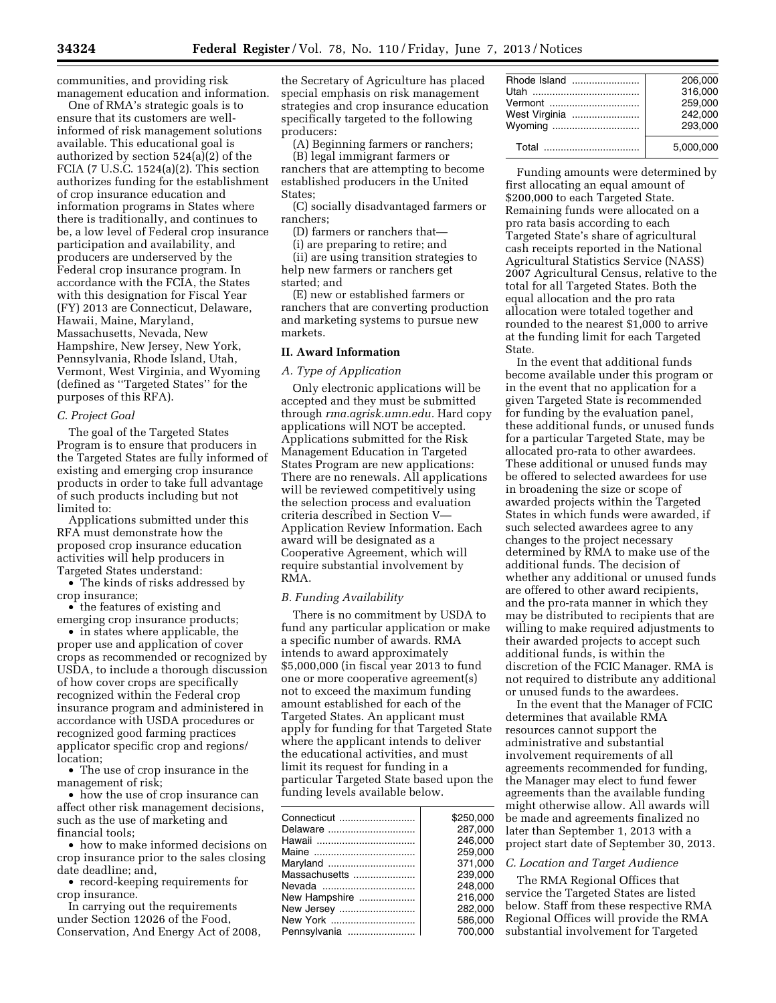communities, and providing risk management education and information.

One of RMA's strategic goals is to ensure that its customers are wellinformed of risk management solutions available. This educational goal is authorized by section 524(a)(2) of the FCIA (7 U.S.C.  $1524(a)(2)$ . This section authorizes funding for the establishment of crop insurance education and information programs in States where there is traditionally, and continues to be, a low level of Federal crop insurance participation and availability, and producers are underserved by the Federal crop insurance program. In accordance with the FCIA, the States with this designation for Fiscal Year (FY) 2013 are Connecticut, Delaware, Hawaii, Maine, Maryland, Massachusetts, Nevada, New Hampshire, New Jersey, New York, Pennsylvania, Rhode Island, Utah, Vermont, West Virginia, and Wyoming (defined as ''Targeted States'' for the purposes of this RFA).

### *C. Project Goal*

The goal of the Targeted States Program is to ensure that producers in the Targeted States are fully informed of existing and emerging crop insurance products in order to take full advantage of such products including but not limited to:

Applications submitted under this RFA must demonstrate how the proposed crop insurance education activities will help producers in Targeted States understand:

• The kinds of risks addressed by crop insurance;

• the features of existing and emerging crop insurance products;

• in states where applicable, the proper use and application of cover crops as recommended or recognized by USDA, to include a thorough discussion of how cover crops are specifically recognized within the Federal crop insurance program and administered in accordance with USDA procedures or recognized good farming practices applicator specific crop and regions/ location;

• The use of crop insurance in the management of risk;

• how the use of crop insurance can affect other risk management decisions, such as the use of marketing and financial tools;

• how to make informed decisions on crop insurance prior to the sales closing date deadline; and,

• record-keeping requirements for crop insurance.

In carrying out the requirements under Section 12026 of the Food, Conservation, And Energy Act of 2008, the Secretary of Agriculture has placed special emphasis on risk management strategies and crop insurance education specifically targeted to the following producers:

(A) Beginning farmers or ranchers;

(B) legal immigrant farmers or ranchers that are attempting to become established producers in the United States;

(C) socially disadvantaged farmers or ranchers;

(D) farmers or ranchers that—

(i) are preparing to retire; and (ii) are using transition strategies to

help new farmers or ranchers get started; and

(E) new or established farmers or ranchers that are converting production and marketing systems to pursue new markets.

## **II. Award Information**

#### *A. Type of Application*

Only electronic applications will be accepted and they must be submitted through *rma.agrisk.umn.edu.* Hard copy applications will NOT be accepted. Applications submitted for the Risk Management Education in Targeted States Program are new applications: There are no renewals. All applications will be reviewed competitively using the selection process and evaluation criteria described in Section V— Application Review Information. Each award will be designated as a Cooperative Agreement, which will require substantial involvement by RMA.

### *B. Funding Availability*

There is no commitment by USDA to fund any particular application or make a specific number of awards. RMA intends to award approximately \$5,000,000 (in fiscal year 2013 to fund one or more cooperative agreement(s) not to exceed the maximum funding amount established for each of the Targeted States. An applicant must apply for funding for that Targeted State where the applicant intends to deliver the educational activities, and must limit its request for funding in a particular Targeted State based upon the funding levels available below.

| Delaware      | \$250.000<br>287.000<br>246.000 |
|---------------|---------------------------------|
|               |                                 |
|               |                                 |
|               |                                 |
|               | 259.000                         |
| Maryland      | 371.000                         |
| Massachusetts | 239.000                         |
|               | 248.000                         |
| New Hampshire | 216,000                         |
|               | 282.000                         |
|               | 586,000                         |
|               | 700.000                         |

|               | 206.000   |
|---------------|-----------|
|               | 316.000   |
|               | 259.000   |
| West Virginia | 242.000   |
|               | 293.000   |
|               | 5.000.000 |

Funding amounts were determined by first allocating an equal amount of \$200,000 to each Targeted State. Remaining funds were allocated on a pro rata basis according to each Targeted State's share of agricultural cash receipts reported in the National Agricultural Statistics Service (NASS) 2007 Agricultural Census, relative to the total for all Targeted States. Both the equal allocation and the pro rata allocation were totaled together and rounded to the nearest \$1,000 to arrive at the funding limit for each Targeted State.

In the event that additional funds become available under this program or in the event that no application for a given Targeted State is recommended for funding by the evaluation panel, these additional funds, or unused funds for a particular Targeted State, may be allocated pro-rata to other awardees. These additional or unused funds may be offered to selected awardees for use in broadening the size or scope of awarded projects within the Targeted States in which funds were awarded, if such selected awardees agree to any changes to the project necessary determined by RMA to make use of the additional funds. The decision of whether any additional or unused funds are offered to other award recipients, and the pro-rata manner in which they may be distributed to recipients that are willing to make required adjustments to their awarded projects to accept such additional funds, is within the discretion of the FCIC Manager. RMA is not required to distribute any additional or unused funds to the awardees.

In the event that the Manager of FCIC determines that available RMA resources cannot support the administrative and substantial involvement requirements of all agreements recommended for funding, the Manager may elect to fund fewer agreements than the available funding might otherwise allow. All awards will be made and agreements finalized no later than September 1, 2013 with a project start date of September 30, 2013.

#### *C. Location and Target Audience*

The RMA Regional Offices that service the Targeted States are listed below. Staff from these respective RMA Regional Offices will provide the RMA substantial involvement for Targeted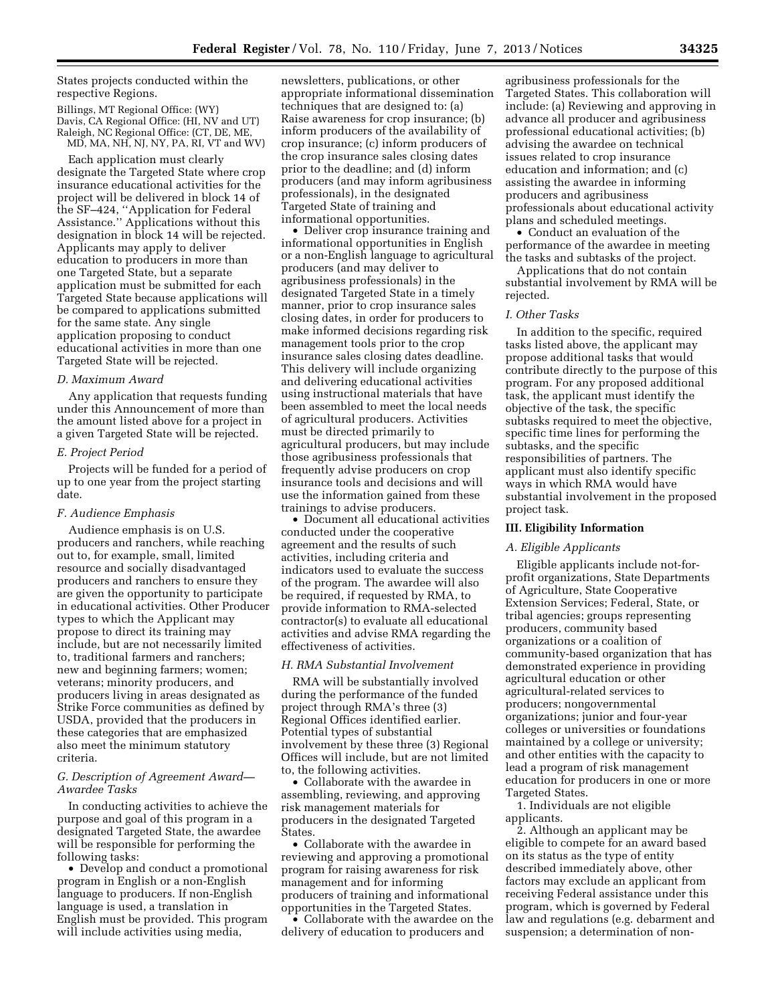States projects conducted within the respective Regions.

Billings, MT Regional Office: (WY) Davis, CA Regional Office: (HI, NV and UT) Raleigh, NC Regional Office: (CT, DE, ME, MD, MA, NH, NJ, NY, PA, RI, VT and WV)

Each application must clearly designate the Targeted State where crop insurance educational activities for the project will be delivered in block 14 of the SF–424, ''Application for Federal Assistance.'' Applications without this designation in block 14 will be rejected. Applicants may apply to deliver education to producers in more than one Targeted State, but a separate application must be submitted for each Targeted State because applications will be compared to applications submitted for the same state. Any single application proposing to conduct educational activities in more than one Targeted State will be rejected.

#### *D. Maximum Award*

Any application that requests funding under this Announcement of more than the amount listed above for a project in a given Targeted State will be rejected.

#### *E. Project Period*

Projects will be funded for a period of up to one year from the project starting date.

## *F. Audience Emphasis*

Audience emphasis is on U.S. producers and ranchers, while reaching out to, for example, small, limited resource and socially disadvantaged producers and ranchers to ensure they are given the opportunity to participate in educational activities. Other Producer types to which the Applicant may propose to direct its training may include, but are not necessarily limited to, traditional farmers and ranchers; new and beginning farmers; women; veterans; minority producers, and producers living in areas designated as Strike Force communities as defined by USDA, provided that the producers in these categories that are emphasized also meet the minimum statutory criteria.

#### *G. Description of Agreement Award— Awardee Tasks*

In conducting activities to achieve the purpose and goal of this program in a designated Targeted State, the awardee will be responsible for performing the following tasks:

• Develop and conduct a promotional program in English or a non-English language to producers. If non-English language is used, a translation in English must be provided. This program will include activities using media,

newsletters, publications, or other appropriate informational dissemination techniques that are designed to: (a) Raise awareness for crop insurance; (b) inform producers of the availability of crop insurance; (c) inform producers of the crop insurance sales closing dates prior to the deadline; and (d) inform producers (and may inform agribusiness professionals), in the designated Targeted State of training and informational opportunities.

• Deliver crop insurance training and informational opportunities in English or a non-English language to agricultural producers (and may deliver to agribusiness professionals) in the designated Targeted State in a timely manner, prior to crop insurance sales closing dates, in order for producers to make informed decisions regarding risk management tools prior to the crop insurance sales closing dates deadline. This delivery will include organizing and delivering educational activities using instructional materials that have been assembled to meet the local needs of agricultural producers. Activities must be directed primarily to agricultural producers, but may include those agribusiness professionals that frequently advise producers on crop insurance tools and decisions and will use the information gained from these trainings to advise producers.

• Document all educational activities conducted under the cooperative agreement and the results of such activities, including criteria and indicators used to evaluate the success of the program. The awardee will also be required, if requested by RMA, to provide information to RMA-selected contractor(s) to evaluate all educational activities and advise RMA regarding the effectiveness of activities.

#### *H. RMA Substantial Involvement*

RMA will be substantially involved during the performance of the funded project through RMA's three (3) Regional Offices identified earlier. Potential types of substantial involvement by these three (3) Regional Offices will include, but are not limited to, the following activities.

• Collaborate with the awardee in assembling, reviewing, and approving risk management materials for producers in the designated Targeted States.

• Collaborate with the awardee in reviewing and approving a promotional program for raising awareness for risk management and for informing producers of training and informational opportunities in the Targeted States.

• Collaborate with the awardee on the delivery of education to producers and

agribusiness professionals for the Targeted States. This collaboration will include: (a) Reviewing and approving in advance all producer and agribusiness professional educational activities; (b) advising the awardee on technical issues related to crop insurance education and information; and (c) assisting the awardee in informing producers and agribusiness professionals about educational activity plans and scheduled meetings.

• Conduct an evaluation of the performance of the awardee in meeting the tasks and subtasks of the project.

Applications that do not contain substantial involvement by RMA will be rejected.

#### *I. Other Tasks*

In addition to the specific, required tasks listed above, the applicant may propose additional tasks that would contribute directly to the purpose of this program. For any proposed additional task, the applicant must identify the objective of the task, the specific subtasks required to meet the objective, specific time lines for performing the subtasks, and the specific responsibilities of partners. The applicant must also identify specific ways in which RMA would have substantial involvement in the proposed project task.

#### **III. Eligibility Information**

#### *A. Eligible Applicants*

Eligible applicants include not-forprofit organizations, State Departments of Agriculture, State Cooperative Extension Services; Federal, State, or tribal agencies; groups representing producers, community based organizations or a coalition of community-based organization that has demonstrated experience in providing agricultural education or other agricultural-related services to producers; nongovernmental organizations; junior and four-year colleges or universities or foundations maintained by a college or university; and other entities with the capacity to lead a program of risk management education for producers in one or more Targeted States.

1. Individuals are not eligible applicants.

2. Although an applicant may be eligible to compete for an award based on its status as the type of entity described immediately above, other factors may exclude an applicant from receiving Federal assistance under this program, which is governed by Federal law and regulations (e.g. debarment and suspension; a determination of non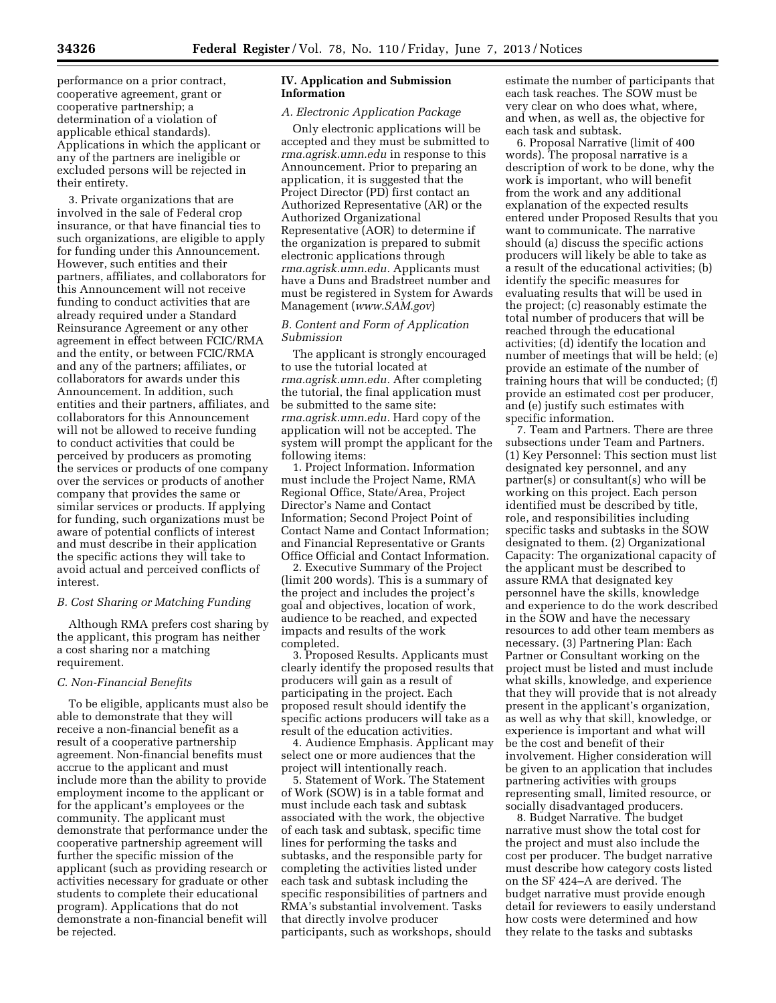performance on a prior contract, cooperative agreement, grant or cooperative partnership; a determination of a violation of applicable ethical standards). Applications in which the applicant or any of the partners are ineligible or excluded persons will be rejected in their entirety.

3. Private organizations that are involved in the sale of Federal crop insurance, or that have financial ties to such organizations, are eligible to apply for funding under this Announcement. However, such entities and their partners, affiliates, and collaborators for this Announcement will not receive funding to conduct activities that are already required under a Standard Reinsurance Agreement or any other agreement in effect between FCIC/RMA and the entity, or between FCIC/RMA and any of the partners; affiliates, or collaborators for awards under this Announcement. In addition, such entities and their partners, affiliates, and collaborators for this Announcement will not be allowed to receive funding to conduct activities that could be perceived by producers as promoting the services or products of one company over the services or products of another company that provides the same or similar services or products. If applying for funding, such organizations must be aware of potential conflicts of interest and must describe in their application the specific actions they will take to avoid actual and perceived conflicts of interest.

### *B. Cost Sharing or Matching Funding*

Although RMA prefers cost sharing by the applicant, this program has neither a cost sharing nor a matching requirement.

#### *C. Non-Financial Benefits*

To be eligible, applicants must also be able to demonstrate that they will receive a non-financial benefit as a result of a cooperative partnership agreement. Non-financial benefits must accrue to the applicant and must include more than the ability to provide employment income to the applicant or for the applicant's employees or the community. The applicant must demonstrate that performance under the cooperative partnership agreement will further the specific mission of the applicant (such as providing research or activities necessary for graduate or other students to complete their educational program). Applications that do not demonstrate a non-financial benefit will be rejected.

## **IV. Application and Submission Information**

# *A. Electronic Application Package*

Only electronic applications will be accepted and they must be submitted to *rma.agrisk.umn.edu* in response to this Announcement. Prior to preparing an application, it is suggested that the Project Director (PD) first contact an Authorized Representative (AR) or the Authorized Organizational Representative (AOR) to determine if the organization is prepared to submit electronic applications through *rma.agrisk.umn.edu.* Applicants must have a Duns and Bradstreet number and must be registered in System for Awards Management (*[www.SAM.gov](http://www.SAM.gov)*)

## *B. Content and Form of Application Submission*

The applicant is strongly encouraged to use the tutorial located at *rma.agrisk.umn.edu.* After completing the tutorial, the final application must be submitted to the same site: *rma.agrisk.umn.edu.* Hard copy of the application will not be accepted. The system will prompt the applicant for the following items:

1. Project Information. Information must include the Project Name, RMA Regional Office, State/Area, Project Director's Name and Contact Information; Second Project Point of Contact Name and Contact Information; and Financial Representative or Grants Office Official and Contact Information.

2. Executive Summary of the Project (limit 200 words). This is a summary of the project and includes the project's goal and objectives, location of work, audience to be reached, and expected impacts and results of the work completed.

3. Proposed Results. Applicants must clearly identify the proposed results that producers will gain as a result of participating in the project. Each proposed result should identify the specific actions producers will take as a result of the education activities.

4. Audience Emphasis. Applicant may select one or more audiences that the project will intentionally reach.

5. Statement of Work. The Statement of Work (SOW) is in a table format and must include each task and subtask associated with the work, the objective of each task and subtask, specific time lines for performing the tasks and subtasks, and the responsible party for completing the activities listed under each task and subtask including the specific responsibilities of partners and RMA's substantial involvement. Tasks that directly involve producer participants, such as workshops, should

estimate the number of participants that each task reaches. The SOW must be very clear on who does what, where, and when, as well as, the objective for each task and subtask.

6. Proposal Narrative (limit of 400 words). The proposal narrative is a description of work to be done, why the work is important, who will benefit from the work and any additional explanation of the expected results entered under Proposed Results that you want to communicate. The narrative should (a) discuss the specific actions producers will likely be able to take as a result of the educational activities; (b) identify the specific measures for evaluating results that will be used in the project; (c) reasonably estimate the total number of producers that will be reached through the educational activities; (d) identify the location and number of meetings that will be held; (e) provide an estimate of the number of training hours that will be conducted; (f) provide an estimated cost per producer, and (e) justify such estimates with specific information.

7. Team and Partners. There are three subsections under Team and Partners. (1) Key Personnel: This section must list designated key personnel, and any partner(s) or consultant(s) who will be working on this project. Each person identified must be described by title, role, and responsibilities including specific tasks and subtasks in the SOW designated to them. (2) Organizational Capacity: The organizational capacity of the applicant must be described to assure RMA that designated key personnel have the skills, knowledge and experience to do the work described in the SOW and have the necessary resources to add other team members as necessary. (3) Partnering Plan: Each Partner or Consultant working on the project must be listed and must include what skills, knowledge, and experience that they will provide that is not already present in the applicant's organization, as well as why that skill, knowledge, or experience is important and what will be the cost and benefit of their involvement. Higher consideration will be given to an application that includes partnering activities with groups representing small, limited resource, or socially disadvantaged producers.

8. Budget Narrative. The budget narrative must show the total cost for the project and must also include the cost per producer. The budget narrative must describe how category costs listed on the SF 424–A are derived. The budget narrative must provide enough detail for reviewers to easily understand how costs were determined and how they relate to the tasks and subtasks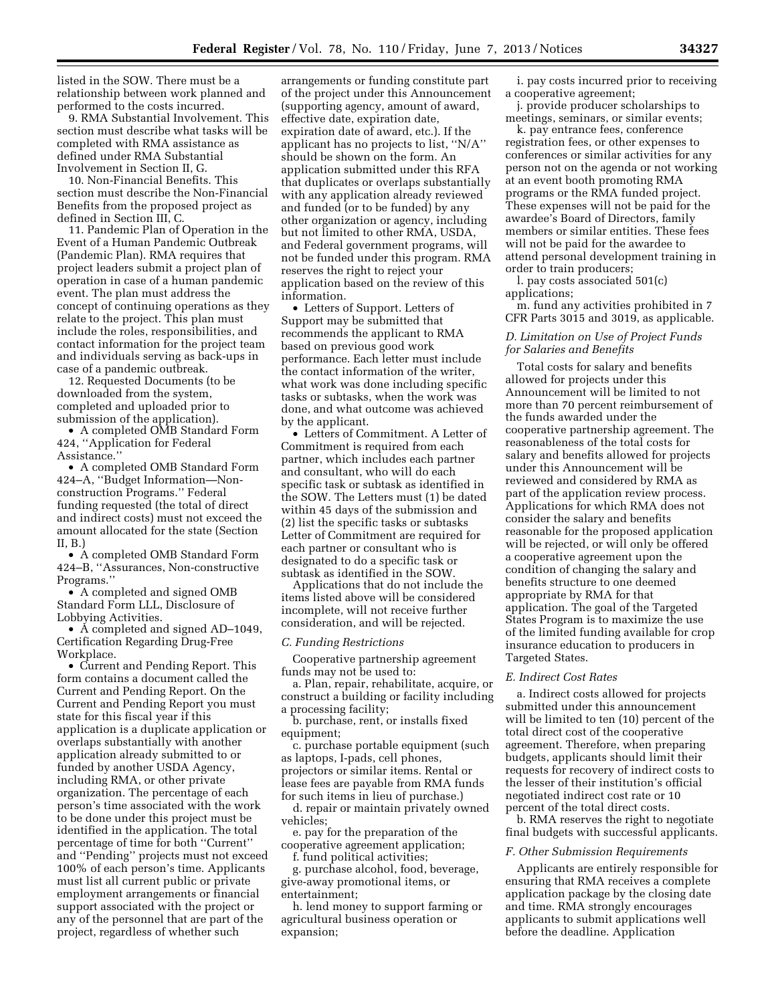listed in the SOW. There must be a relationship between work planned and performed to the costs incurred.

9. RMA Substantial Involvement. This section must describe what tasks will be completed with RMA assistance as defined under RMA Substantial Involvement in Section II, G.

10. Non-Financial Benefits. This section must describe the Non-Financial Benefits from the proposed project as defined in Section III, C.

11. Pandemic Plan of Operation in the Event of a Human Pandemic Outbreak (Pandemic Plan). RMA requires that project leaders submit a project plan of operation in case of a human pandemic event. The plan must address the concept of continuing operations as they relate to the project. This plan must include the roles, responsibilities, and contact information for the project team and individuals serving as back-ups in case of a pandemic outbreak.

12. Requested Documents (to be downloaded from the system, completed and uploaded prior to submission of the application).

• A completed OMB Standard Form 424, ''Application for Federal Assistance.''

• A completed OMB Standard Form 424–A, ''Budget Information—Nonconstruction Programs.'' Federal funding requested (the total of direct and indirect costs) must not exceed the amount allocated for the state (Section II, B.)

• A completed OMB Standard Form 424–B, ''Assurances, Non-constructive Programs.''

• A completed and signed OMB Standard Form LLL, Disclosure of Lobbying Activities.

• A completed and signed AD–1049, Certification Regarding Drug-Free Workplace.

• Current and Pending Report. This form contains a document called the Current and Pending Report. On the Current and Pending Report you must state for this fiscal year if this application is a duplicate application or overlaps substantially with another application already submitted to or funded by another USDA Agency, including RMA, or other private organization. The percentage of each person's time associated with the work to be done under this project must be identified in the application. The total percentage of time for both ''Current'' and ''Pending'' projects must not exceed 100% of each person's time. Applicants must list all current public or private employment arrangements or financial support associated with the project or any of the personnel that are part of the project, regardless of whether such

arrangements or funding constitute part of the project under this Announcement (supporting agency, amount of award, effective date, expiration date, expiration date of award, etc.). If the applicant has no projects to list, ''N/A'' should be shown on the form. An application submitted under this RFA that duplicates or overlaps substantially with any application already reviewed and funded (or to be funded) by any other organization or agency, including but not limited to other RMA, USDA, and Federal government programs, will not be funded under this program. RMA reserves the right to reject your application based on the review of this information.

• Letters of Support. Letters of Support may be submitted that recommends the applicant to RMA based on previous good work performance. Each letter must include the contact information of the writer, what work was done including specific tasks or subtasks, when the work was done, and what outcome was achieved by the applicant.

• Letters of Commitment. A Letter of Commitment is required from each partner, which includes each partner and consultant, who will do each specific task or subtask as identified in the SOW. The Letters must (1) be dated within 45 days of the submission and (2) list the specific tasks or subtasks Letter of Commitment are required for each partner or consultant who is designated to do a specific task or subtask as identified in the SOW.

Applications that do not include the items listed above will be considered incomplete, will not receive further consideration, and will be rejected.

#### *C. Funding Restrictions*

Cooperative partnership agreement funds may not be used to:

a. Plan, repair, rehabilitate, acquire, or construct a building or facility including a processing facility;

b. purchase, rent, or installs fixed equipment;

c. purchase portable equipment (such as laptops, I-pads, cell phones, projectors or similar items. Rental or lease fees are payable from RMA funds for such items in lieu of purchase.)

d. repair or maintain privately owned vehicles;

e. pay for the preparation of the cooperative agreement application;

f. fund political activities;

g. purchase alcohol, food, beverage, give-away promotional items, or entertainment;

h. lend money to support farming or agricultural business operation or expansion;

i. pay costs incurred prior to receiving a cooperative agreement;

j. provide producer scholarships to meetings, seminars, or similar events;

k. pay entrance fees, conference registration fees, or other expenses to conferences or similar activities for any person not on the agenda or not working at an event booth promoting RMA programs or the RMA funded project. These expenses will not be paid for the awardee's Board of Directors, family members or similar entities. These fees will not be paid for the awardee to attend personal development training in order to train producers;

l. pay costs associated 501(c) applications;

m. fund any activities prohibited in 7 CFR Parts 3015 and 3019, as applicable.

## *D. Limitation on Use of Project Funds for Salaries and Benefits*

Total costs for salary and benefits allowed for projects under this Announcement will be limited to not more than 70 percent reimbursement of the funds awarded under the cooperative partnership agreement. The reasonableness of the total costs for salary and benefits allowed for projects under this Announcement will be reviewed and considered by RMA as part of the application review process. Applications for which RMA does not consider the salary and benefits reasonable for the proposed application will be rejected, or will only be offered a cooperative agreement upon the condition of changing the salary and benefits structure to one deemed appropriate by RMA for that application. The goal of the Targeted States Program is to maximize the use of the limited funding available for crop insurance education to producers in Targeted States.

### *E. Indirect Cost Rates*

a. Indirect costs allowed for projects submitted under this announcement will be limited to ten (10) percent of the total direct cost of the cooperative agreement. Therefore, when preparing budgets, applicants should limit their requests for recovery of indirect costs to the lesser of their institution's official negotiated indirect cost rate or 10 percent of the total direct costs.

b. RMA reserves the right to negotiate final budgets with successful applicants.

### *F. Other Submission Requirements*

Applicants are entirely responsible for ensuring that RMA receives a complete application package by the closing date and time. RMA strongly encourages applicants to submit applications well before the deadline. Application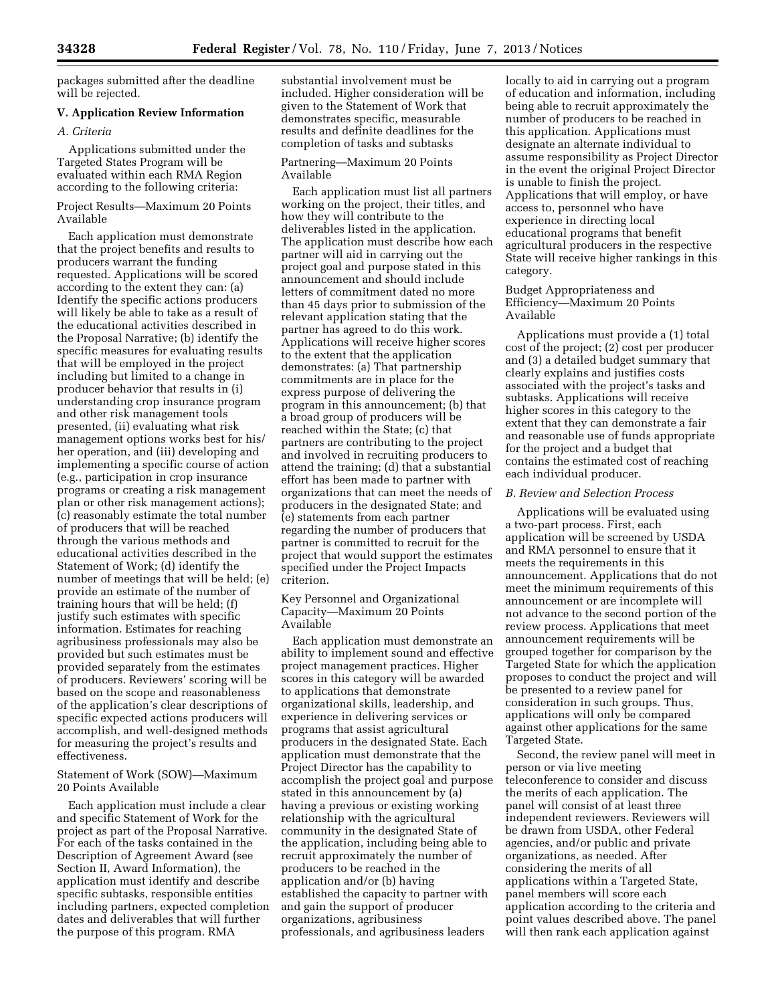packages submitted after the deadline will be rejected.

## **V. Application Review Information**

## *A. Criteria*

Applications submitted under the Targeted States Program will be evaluated within each RMA Region according to the following criteria:

## Project Results—Maximum 20 Points Available

Each application must demonstrate that the project benefits and results to producers warrant the funding requested. Applications will be scored according to the extent they can: (a) Identify the specific actions producers will likely be able to take as a result of the educational activities described in the Proposal Narrative; (b) identify the specific measures for evaluating results that will be employed in the project including but limited to a change in producer behavior that results in (i) understanding crop insurance program and other risk management tools presented, (ii) evaluating what risk management options works best for his/ her operation, and (iii) developing and implementing a specific course of action (e.g., participation in crop insurance programs or creating a risk management plan or other risk management actions); (c) reasonably estimate the total number of producers that will be reached through the various methods and educational activities described in the Statement of Work; (d) identify the number of meetings that will be held; (e) provide an estimate of the number of training hours that will be held; (f) justify such estimates with specific information. Estimates for reaching agribusiness professionals may also be provided but such estimates must be provided separately from the estimates of producers. Reviewers' scoring will be based on the scope and reasonableness of the application's clear descriptions of specific expected actions producers will accomplish, and well-designed methods for measuring the project's results and effectiveness.

## Statement of Work (SOW)—Maximum 20 Points Available

Each application must include a clear and specific Statement of Work for the project as part of the Proposal Narrative. For each of the tasks contained in the Description of Agreement Award (see Section II, Award Information), the application must identify and describe specific subtasks, responsible entities including partners, expected completion dates and deliverables that will further the purpose of this program. RMA

substantial involvement must be included. Higher consideration will be given to the Statement of Work that demonstrates specific, measurable results and definite deadlines for the completion of tasks and subtasks

#### Partnering—Maximum 20 Points Available

Each application must list all partners working on the project, their titles, and how they will contribute to the deliverables listed in the application. The application must describe how each partner will aid in carrying out the project goal and purpose stated in this announcement and should include letters of commitment dated no more than 45 days prior to submission of the relevant application stating that the partner has agreed to do this work. Applications will receive higher scores to the extent that the application demonstrates: (a) That partnership commitments are in place for the express purpose of delivering the program in this announcement; (b) that a broad group of producers will be reached within the State; (c) that partners are contributing to the project and involved in recruiting producers to attend the training; (d) that a substantial effort has been made to partner with organizations that can meet the needs of producers in the designated State; and (e) statements from each partner regarding the number of producers that partner is committed to recruit for the project that would support the estimates specified under the Project Impacts criterion.

## Key Personnel and Organizational Capacity—Maximum 20 Points Available

Each application must demonstrate an ability to implement sound and effective project management practices. Higher scores in this category will be awarded to applications that demonstrate organizational skills, leadership, and experience in delivering services or programs that assist agricultural producers in the designated State. Each application must demonstrate that the Project Director has the capability to accomplish the project goal and purpose stated in this announcement by (a) having a previous or existing working relationship with the agricultural community in the designated State of the application, including being able to recruit approximately the number of producers to be reached in the application and/or (b) having established the capacity to partner with and gain the support of producer organizations, agribusiness professionals, and agribusiness leaders

locally to aid in carrying out a program of education and information, including being able to recruit approximately the number of producers to be reached in this application. Applications must designate an alternate individual to assume responsibility as Project Director in the event the original Project Director is unable to finish the project. Applications that will employ, or have access to, personnel who have experience in directing local educational programs that benefit agricultural producers in the respective State will receive higher rankings in this category.

## Budget Appropriateness and Efficiency—Maximum 20 Points Available

Applications must provide a (1) total cost of the project; (2) cost per producer and (3) a detailed budget summary that clearly explains and justifies costs associated with the project's tasks and subtasks. Applications will receive higher scores in this category to the extent that they can demonstrate a fair and reasonable use of funds appropriate for the project and a budget that contains the estimated cost of reaching each individual producer.

## *B. Review and Selection Process*

Applications will be evaluated using a two-part process. First, each application will be screened by USDA and RMA personnel to ensure that it meets the requirements in this announcement. Applications that do not meet the minimum requirements of this announcement or are incomplete will not advance to the second portion of the review process. Applications that meet announcement requirements will be grouped together for comparison by the Targeted State for which the application proposes to conduct the project and will be presented to a review panel for consideration in such groups. Thus, applications will only be compared against other applications for the same Targeted State.

Second, the review panel will meet in person or via live meeting teleconference to consider and discuss the merits of each application. The panel will consist of at least three independent reviewers. Reviewers will be drawn from USDA, other Federal agencies, and/or public and private organizations, as needed. After considering the merits of all applications within a Targeted State, panel members will score each application according to the criteria and point values described above. The panel will then rank each application against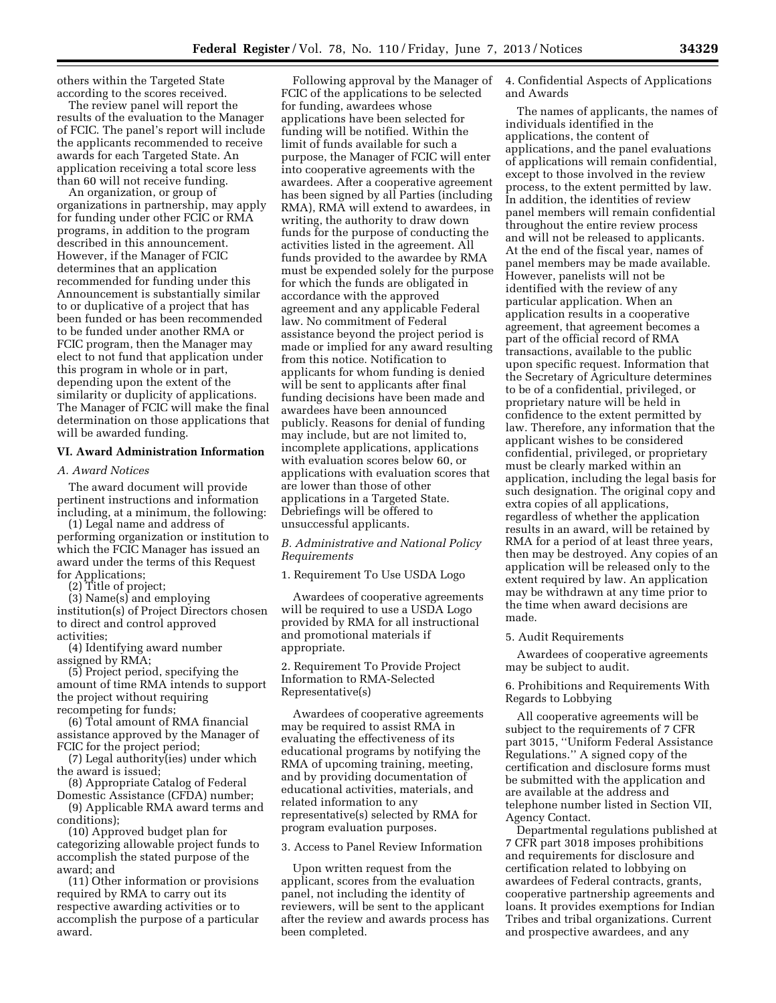others within the Targeted State according to the scores received.

The review panel will report the results of the evaluation to the Manager of FCIC. The panel's report will include the applicants recommended to receive awards for each Targeted State. An application receiving a total score less than 60 will not receive funding.

An organization, or group of organizations in partnership, may apply for funding under other FCIC or RMA programs, in addition to the program described in this announcement. However, if the Manager of FCIC determines that an application recommended for funding under this Announcement is substantially similar to or duplicative of a project that has been funded or has been recommended to be funded under another RMA or FCIC program, then the Manager may elect to not fund that application under this program in whole or in part, depending upon the extent of the similarity or duplicity of applications. The Manager of FCIC will make the final determination on those applications that will be awarded funding.

### **VI. Award Administration Information**

#### *A. Award Notices*

The award document will provide pertinent instructions and information including, at a minimum, the following:

(1) Legal name and address of performing organization or institution to which the FCIC Manager has issued an award under the terms of this Request for Applications;

(2) Title of project;

(3) Name(s) and employing institution(s) of Project Directors chosen to direct and control approved activities;

(4) Identifying award number assigned by RMA;

(5) Project period, specifying the amount of time RMA intends to support the project without requiring recompeting for funds;

(6) Total amount of RMA financial assistance approved by the Manager of FCIC for the project period;

(7) Legal authority(ies) under which the award is issued;

(8) Appropriate Catalog of Federal Domestic Assistance (CFDA) number;

(9) Applicable RMA award terms and conditions);

(10) Approved budget plan for categorizing allowable project funds to accomplish the stated purpose of the award; and

(11) Other information or provisions required by RMA to carry out its respective awarding activities or to accomplish the purpose of a particular award.

Following approval by the Manager of FCIC of the applications to be selected for funding, awardees whose applications have been selected for funding will be notified. Within the limit of funds available for such a purpose, the Manager of FCIC will enter into cooperative agreements with the awardees. After a cooperative agreement has been signed by all Parties (including RMA), RMA will extend to awardees, in writing, the authority to draw down funds for the purpose of conducting the activities listed in the agreement. All funds provided to the awardee by RMA must be expended solely for the purpose for which the funds are obligated in accordance with the approved agreement and any applicable Federal law. No commitment of Federal assistance beyond the project period is made or implied for any award resulting from this notice. Notification to applicants for whom funding is denied will be sent to applicants after final funding decisions have been made and awardees have been announced publicly. Reasons for denial of funding may include, but are not limited to, incomplete applications, applications with evaluation scores below 60, or applications with evaluation scores that are lower than those of other applications in a Targeted State. Debriefings will be offered to unsuccessful applicants.

*B. Administrative and National Policy Requirements* 

1. Requirement To Use USDA Logo

Awardees of cooperative agreements will be required to use a USDA Logo provided by RMA for all instructional and promotional materials if appropriate.

2. Requirement To Provide Project Information to RMA-Selected Representative(s)

Awardees of cooperative agreements may be required to assist RMA in evaluating the effectiveness of its educational programs by notifying the RMA of upcoming training, meeting, and by providing documentation of educational activities, materials, and related information to any representative(s) selected by RMA for program evaluation purposes.

3. Access to Panel Review Information

Upon written request from the applicant, scores from the evaluation panel, not including the identity of reviewers, will be sent to the applicant after the review and awards process has been completed.

4. Confidential Aspects of Applications and Awards

The names of applicants, the names of individuals identified in the applications, the content of applications, and the panel evaluations of applications will remain confidential, except to those involved in the review process, to the extent permitted by law. In addition, the identities of review panel members will remain confidential throughout the entire review process and will not be released to applicants. At the end of the fiscal year, names of panel members may be made available. However, panelists will not be identified with the review of any particular application. When an application results in a cooperative agreement, that agreement becomes a part of the official record of RMA transactions, available to the public upon specific request. Information that the Secretary of Agriculture determines to be of a confidential, privileged, or proprietary nature will be held in confidence to the extent permitted by law. Therefore, any information that the applicant wishes to be considered confidential, privileged, or proprietary must be clearly marked within an application, including the legal basis for such designation. The original copy and extra copies of all applications, regardless of whether the application results in an award, will be retained by RMA for a period of at least three years, then may be destroyed. Any copies of an application will be released only to the extent required by law. An application may be withdrawn at any time prior to the time when award decisions are made.

#### 5. Audit Requirements

Awardees of cooperative agreements may be subject to audit.

6. Prohibitions and Requirements With Regards to Lobbying

All cooperative agreements will be subject to the requirements of 7 CFR part 3015, ''Uniform Federal Assistance Regulations.'' A signed copy of the certification and disclosure forms must be submitted with the application and are available at the address and telephone number listed in Section VII, Agency Contact.

Departmental regulations published at 7 CFR part 3018 imposes prohibitions and requirements for disclosure and certification related to lobbying on awardees of Federal contracts, grants, cooperative partnership agreements and loans. It provides exemptions for Indian Tribes and tribal organizations. Current and prospective awardees, and any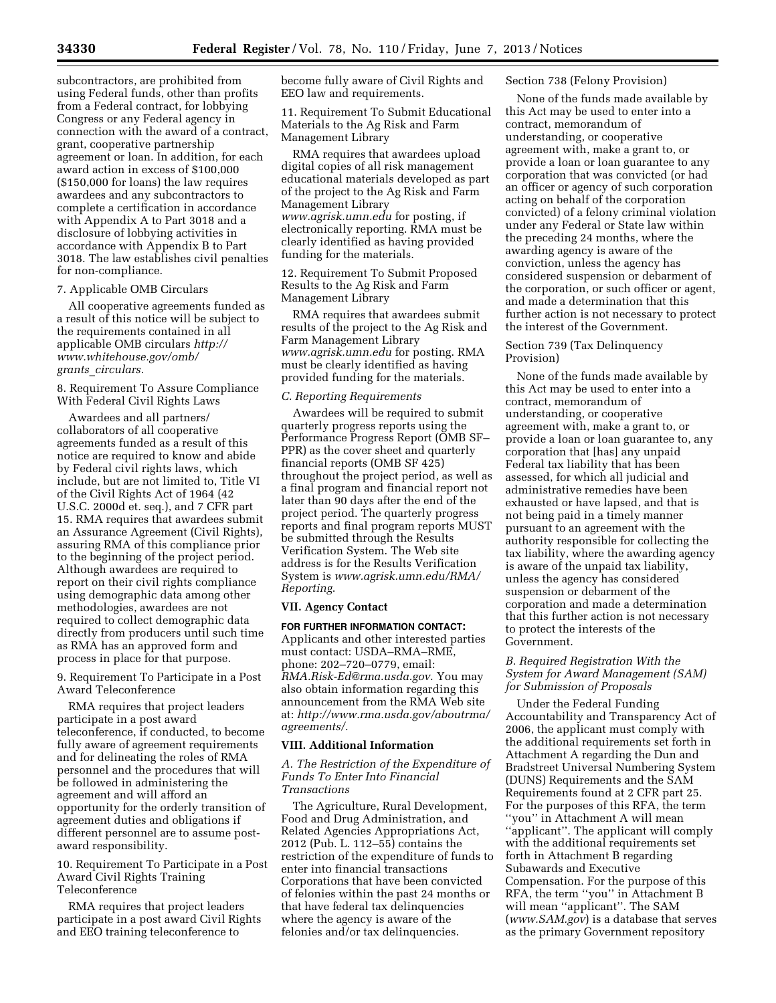subcontractors, are prohibited from using Federal funds, other than profits from a Federal contract, for lobbying Congress or any Federal agency in connection with the award of a contract, grant, cooperative partnership agreement or loan. In addition, for each award action in excess of \$100,000 (\$150,000 for loans) the law requires awardees and any subcontractors to complete a certification in accordance with Appendix A to Part 3018 and a disclosure of lobbying activities in accordance with Appendix B to Part 3018. The law establishes civil penalties for non-compliance.

## 7. Applicable OMB Circulars

All cooperative agreements funded as a result of this notice will be subject to the requirements contained in all applicable OMB circulars *[http://](http://www.whitehouse.gov/omb/grants_circulars) [www.whitehouse.gov/omb/](http://www.whitehouse.gov/omb/grants_circulars)  grants*\_*[circulars.](http://www.whitehouse.gov/omb/grants_circulars)* 

8. Requirement To Assure Compliance With Federal Civil Rights Laws

Awardees and all partners/ collaborators of all cooperative agreements funded as a result of this notice are required to know and abide by Federal civil rights laws, which include, but are not limited to, Title VI of the Civil Rights Act of 1964 (42 U.S.C. 2000d et. seq.), and 7 CFR part 15. RMA requires that awardees submit an Assurance Agreement (Civil Rights), assuring RMA of this compliance prior to the beginning of the project period. Although awardees are required to report on their civil rights compliance using demographic data among other methodologies, awardees are not required to collect demographic data directly from producers until such time as RMA has an approved form and process in place for that purpose.

9. Requirement To Participate in a Post Award Teleconference

RMA requires that project leaders participate in a post award teleconference, if conducted, to become fully aware of agreement requirements and for delineating the roles of RMA personnel and the procedures that will be followed in administering the agreement and will afford an opportunity for the orderly transition of agreement duties and obligations if different personnel are to assume postaward responsibility.

10. Requirement To Participate in a Post Award Civil Rights Training Teleconference

RMA requires that project leaders participate in a post award Civil Rights and EEO training teleconference to

become fully aware of Civil Rights and EEO law and requirements.

11. Requirement To Submit Educational Materials to the Ag Risk and Farm Management Library

RMA requires that awardees upload digital copies of all risk management educational materials developed as part of the project to the Ag Risk and Farm Management Library *[www.agrisk.umn.edu](http://www.agrisk.umn.edu)* for posting, if electronically reporting. RMA must be clearly identified as having provided funding for the materials.

12. Requirement To Submit Proposed Results to the Ag Risk and Farm Management Library

RMA requires that awardees submit results of the project to the Ag Risk and Farm Management Library *[www.agrisk.umn.edu](http://www.agrisk.umn.edu)* for posting. RMA must be clearly identified as having provided funding for the materials.

## *C. Reporting Requirements*

Awardees will be required to submit quarterly progress reports using the Performance Progress Report (OMB SF– PPR) as the cover sheet and quarterly financial reports (OMB SF 425) throughout the project period, as well as a final program and financial report not later than 90 days after the end of the project period. The quarterly progress reports and final program reports MUST be submitted through the Results Verification System. The Web site address is for the Results Verification System is *[www.agrisk.umn.edu/RMA/](http://www.agrisk.umn.edu/RMA/Reporting) [Reporting](http://www.agrisk.umn.edu/RMA/Reporting)*.

## **VII. Agency Contact**

**FOR FURTHER INFORMATION CONTACT:**  Applicants and other interested parties must contact: USDA–RMA–RME, phone: 202–720–0779, email: *[RMA.Risk-Ed@rma.usda.gov](mailto:RMA.Risk-Ed@rma.usda.gov)*. You may also obtain information regarding this announcement from the RMA Web site at: *[http://www.rma.usda.gov/aboutrma/](http://www.rma.usda.gov/aboutrma/agreements/)  [agreements/](http://www.rma.usda.gov/aboutrma/agreements/)*.

## **VIII. Additional Information**

*A. The Restriction of the Expenditure of Funds To Enter Into Financial Transactions* 

The Agriculture, Rural Development, Food and Drug Administration, and Related Agencies Appropriations Act, 2012 (Pub. L. 112–55) contains the restriction of the expenditure of funds to enter into financial transactions Corporations that have been convicted of felonies within the past 24 months or that have federal tax delinquencies where the agency is aware of the felonies and/or tax delinquencies.

## Section 738 (Felony Provision)

None of the funds made available by this Act may be used to enter into a contract, memorandum of understanding, or cooperative agreement with, make a grant to, or provide a loan or loan guarantee to any corporation that was convicted (or had an officer or agency of such corporation acting on behalf of the corporation convicted) of a felony criminal violation under any Federal or State law within the preceding 24 months, where the awarding agency is aware of the conviction, unless the agency has considered suspension or debarment of the corporation, or such officer or agent, and made a determination that this further action is not necessary to protect the interest of the Government.

## Section 739 (Tax Delinquency Provision)

None of the funds made available by this Act may be used to enter into a contract, memorandum of understanding, or cooperative agreement with, make a grant to, or provide a loan or loan guarantee to, any corporation that [has] any unpaid Federal tax liability that has been assessed, for which all judicial and administrative remedies have been exhausted or have lapsed, and that is not being paid in a timely manner pursuant to an agreement with the authority responsible for collecting the tax liability, where the awarding agency is aware of the unpaid tax liability, unless the agency has considered suspension or debarment of the corporation and made a determination that this further action is not necessary to protect the interests of the Government.

# *B. Required Registration With the System for Award Management (SAM) for Submission of Proposals*

Under the Federal Funding Accountability and Transparency Act of 2006, the applicant must comply with the additional requirements set forth in Attachment A regarding the Dun and Bradstreet Universal Numbering System (DUNS) Requirements and the SAM Requirements found at 2 CFR part 25. For the purposes of this RFA, the term ''you'' in Attachment A will mean ''applicant''. The applicant will comply with the additional requirements set forth in Attachment B regarding Subawards and Executive Compensation. For the purpose of this RFA, the term ''you'' in Attachment B will mean "applicant". The SAM (*[www.SAM.gov](http://www.SAM.gov)*) is a database that serves as the primary Government repository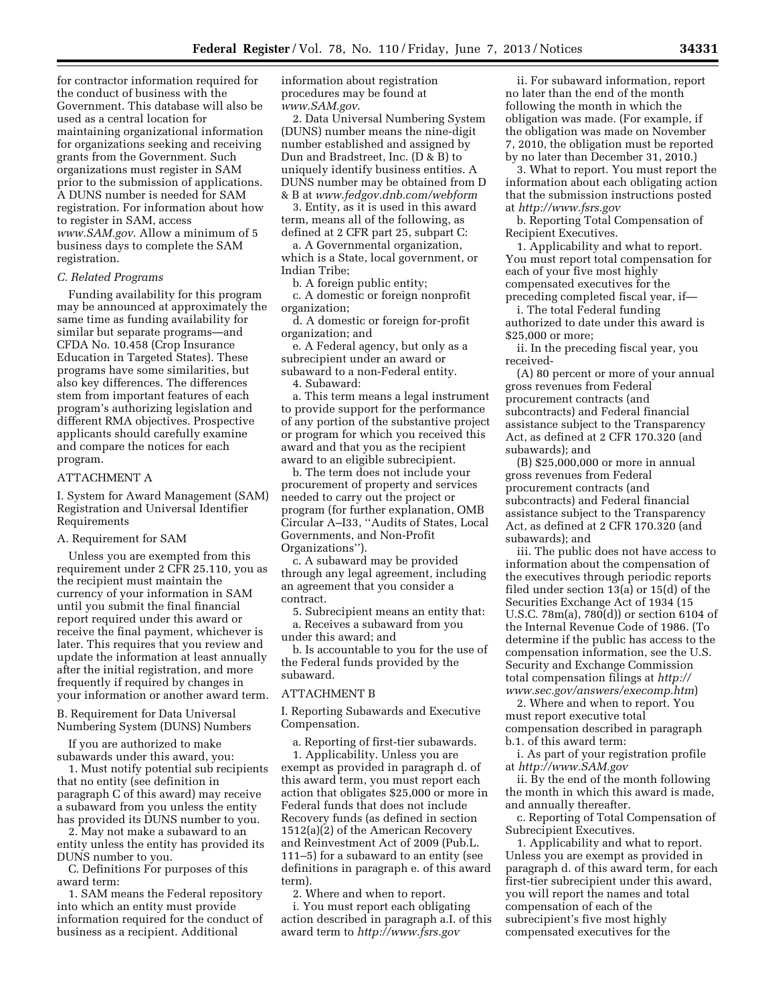for contractor information required for the conduct of business with the Government. This database will also be used as a central location for maintaining organizational information for organizations seeking and receiving grants from the Government. Such organizations must register in SAM prior to the submission of applications. A DUNS number is needed for SAM registration. For information about how to register in SAM, access *[www.SAM.gov](http://www.SAM.gov)*. Allow a minimum of 5 business days to complete the SAM registration.

#### *C. Related Programs*

Funding availability for this program may be announced at approximately the same time as funding availability for similar but separate programs—and CFDA No. 10.458 (Crop Insurance Education in Targeted States). These programs have some similarities, but also key differences. The differences stem from important features of each program's authorizing legislation and different RMA objectives. Prospective applicants should carefully examine and compare the notices for each program.

#### ATTACHMENT A

I. System for Award Management (SAM) Registration and Universal Identifier Requirements

### A. Requirement for SAM

Unless you are exempted from this requirement under 2 CFR 25.110, you as the recipient must maintain the currency of your information in SAM until you submit the final financial report required under this award or receive the final payment, whichever is later. This requires that you review and update the information at least annually after the initial registration, and more frequently if required by changes in your information or another award term.

B. Requirement for Data Universal Numbering System (DUNS) Numbers

If you are authorized to make subawards under this award, you:

1. Must notify potential sub recipients that no entity (see definition in paragraph C of this award) may receive a subaward from you unless the entity has provided its DUNS number to you.

2. May not make a subaward to an entity unless the entity has provided its DUNS number to you.

C. Definitions For purposes of this award term:

1. SAM means the Federal repository into which an entity must provide information required for the conduct of business as a recipient. Additional

information about registration procedures may be found at *[www.SAM.gov](http://www.SAM.gov)*.

2. Data Universal Numbering System (DUNS) number means the nine-digit number established and assigned by Dun and Bradstreet, Inc. (D & B) to uniquely identify business entities. A DUNS number may be obtained from D & B at *[www.fedgov.dnb.com/webform](http://www.fedgov.dnb.com/webform)* 

3. Entity, as it is used in this award term, means all of the following, as defined at 2 CFR part 25, subpart C:

a. A Governmental organization, which is a State, local government, or Indian Tribe;

b. A foreign public entity;

c. A domestic or foreign nonprofit organization;

d. A domestic or foreign for-profit organization; and

e. A Federal agency, but only as a subrecipient under an award or subaward to a non-Federal entity. 4. Subaward:

a. This term means a legal instrument to provide support for the performance of any portion of the substantive project or program for which you received this award and that you as the recipient award to an eligible subrecipient.

b. The term does not include your procurement of property and services needed to carry out the project or program (for further explanation, OMB Circular A–I33, ''Audits of States, Local Governments, and Non-Profit Organizations'').

c. A subaward may be provided through any legal agreement, including an agreement that you consider a contract.

5. Subrecipient means an entity that: a. Receives a subaward from you under this award; and

b. Is accountable to you for the use of the Federal funds provided by the subaward.

### ATTACHMENT B

I. Reporting Subawards and Executive Compensation.

a. Reporting of first-tier subawards. 1. Applicability. Unless you are exempt as provided in paragraph d. of this award term, you must report each action that obligates \$25,000 or more in Federal funds that does not include Recovery funds (as defined in section 1512(a)(2) of the American Recovery and Reinvestment Act of 2009 (Pub.L. 111–5) for a subaward to an entity (see definitions in paragraph e. of this award term).

2. Where and when to report.

i. You must report each obligating action described in paragraph a.I. of this award term to *<http://www.fsrs.gov>*

ii. For subaward information, report no later than the end of the month following the month in which the obligation was made. (For example, if the obligation was made on November 7, 2010, the obligation must be reported by no later than December 31, 2010.)

3. What to report. You must report the information about each obligating action that the submission instructions posted at *<http://www.fsrs.gov>*

b. Reporting Total Compensation of Recipient Executives.

1. Applicability and what to report. You must report total compensation for each of your five most highly compensated executives for the preceding completed fiscal year, if—

i. The total Federal funding

authorized to date under this award is \$25,000 or more;

ii. In the preceding fiscal year, you received-

(A) 80 percent or more of your annual gross revenues from Federal procurement contracts (and subcontracts) and Federal financial assistance subject to the Transparency Act, as defined at 2 CFR 170.320 (and subawards); and

(B) \$25,000,000 or more in annual gross revenues from Federal procurement contracts (and subcontracts) and Federal financial assistance subject to the Transparency Act, as defined at 2 CFR 170.320 (and subawards); and

iii. The public does not have access to information about the compensation of the executives through periodic reports filed under section 13(a) or 15(d) of the Securities Exchange Act of 1934 (15 U.S.C. 78m(a), 780(d)) or section 6104 of the Internal Revenue Code of 1986. (To determine if the public has access to the compensation information, see the U.S. Security and Exchange Commission total compensation filings at *[http://](http://www.sec.gov/answers/execomp.htm) [www.sec.gov/answers/execomp.htm](http://www.sec.gov/answers/execomp.htm)*)

2. Where and when to report. You must report executive total compensation described in paragraph b.1. of this award term:

i. As part of your registration profile at *<http://www.SAM.gov>* 

ii. By the end of the month following the month in which this award is made, and annually thereafter.

c. Reporting of Total Compensation of Subrecipient Executives.

1. Applicability and what to report. Unless you are exempt as provided in paragraph d. of this award term, for each first-tier subrecipient under this award, you will report the names and total compensation of each of the subrecipient's five most highly compensated executives for the